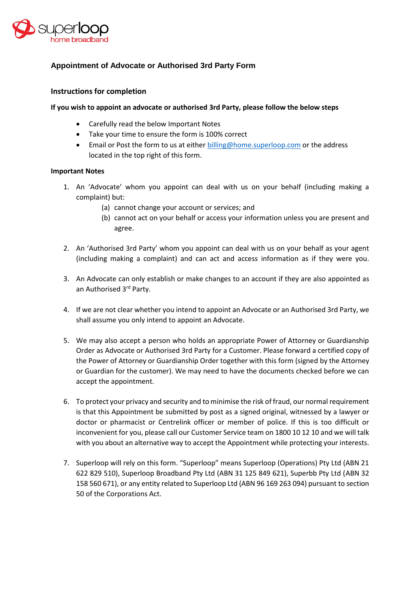

## **Appointment of Advocate or Authorised 3rd Party Form**

## **Instructions for completion**

## **If you wish to appoint an advocate or authorised 3rd Party, please follow the below steps**

- Carefully read the below Important Notes
- Take your time to ensure the form is 100% correct
- Email or Post the form to us at either [billing@home.superloop.com](mailto:billing@home.superloop.com) or the address located in the top right of this form.

## **Important Notes**

- 1. An 'Advocate' whom you appoint can deal with us on your behalf (including making a complaint) but:
	- (a) cannot change your account or services; and
	- (b) cannot act on your behalf or access your information unless you are present and agree.
- 2. An 'Authorised 3rd Party' whom you appoint can deal with us on your behalf as your agent (including making a complaint) and can act and access information as if they were you.
- 3. An Advocate can only establish or make changes to an account if they are also appointed as an Authorised 3rd Party.
- 4. If we are not clear whether you intend to appoint an Advocate or an Authorised 3rd Party, we shall assume you only intend to appoint an Advocate.
- 5. We may also accept a person who holds an appropriate Power of Attorney or Guardianship Order as Advocate or Authorised 3rd Party for a Customer. Please forward a certified copy of the Power of Attorney or Guardianship Order together with this form (signed by the Attorney or Guardian for the customer). We may need to have the documents checked before we can accept the appointment.
- 6. To protect your privacy and security and to minimise the risk of fraud, our normal requirement is that this Appointment be submitted by post as a signed original, witnessed by a lawyer or doctor or pharmacist or Centrelink officer or member of police. If this is too difficult or inconvenient for you, please call our Customer Service team on 1800 10 12 10 and we will talk with you about an alternative way to accept the Appointment while protecting your interests.
- 7. Superloop will rely on this form. "Superloop" means Superloop (Operations) Pty Ltd (ABN 21 622 829 510), Superloop Broadband Pty Ltd (ABN 31 125 849 621), Superbb Pty Ltd (ABN 32 158 560 671), or any entity related to Superloop Ltd (ABN 96 169 263 094) pursuant to section 50 of the Corporations Act.